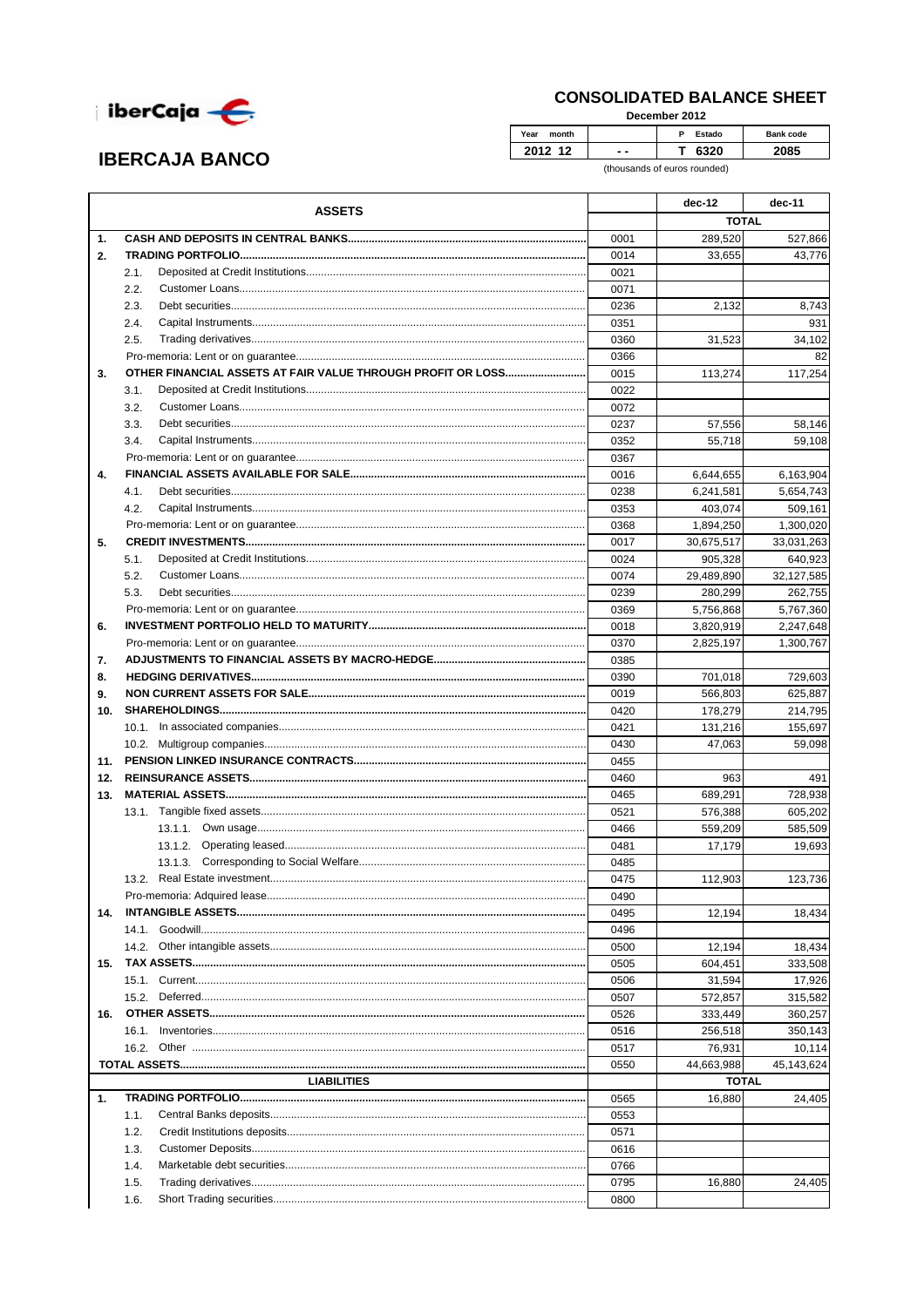

**IBERCAJA BANCO** 

## **CONSOLIDATED BALANCE SHEET**

December 2012

| Year<br>month |     | Ð<br><b>Estado</b> | Bank code |
|---------------|-----|--------------------|-----------|
| 40            | - - |                    |           |

(thousands of euros rounded)

|     | <b>ASSETS</b>                                               |      | dec-12       | dec-11     |
|-----|-------------------------------------------------------------|------|--------------|------------|
|     |                                                             |      | <b>TOTAL</b> |            |
| 1.  |                                                             | 0001 | 289,520      | 527,866    |
| 2.  |                                                             | 0014 | 33,655       | 43,776     |
|     | 2.1.                                                        | 0021 |              |            |
|     | 2.2.                                                        | 0071 |              |            |
|     | 2.3.                                                        | 0236 | 2,132        | 8,743      |
|     | 2.4.                                                        | 0351 |              | 931        |
|     | 2.5.                                                        | 0360 | 31,523       | 34,102     |
|     |                                                             | 0366 |              | 82         |
| 3.  | OTHER FINANCIAL ASSETS AT FAIR VALUE THROUGH PROFIT OR LOSS | 0015 | 113,274      | 117,254    |
|     | 3.1.                                                        | 0022 |              |            |
|     | 3.2.                                                        | 0072 |              |            |
|     | 3.3.                                                        | 0237 | 57,556       | 58,146     |
|     | 3.4.                                                        | 0352 | 55,718       | 59,108     |
|     |                                                             | 0367 |              |            |
| 4.  |                                                             | 0016 | 6,644,655    | 6,163,904  |
|     | 4.1.                                                        | 0238 | 6,241,581    | 5,654,743  |
|     | 4.2.                                                        | 0353 | 403,074      | 509,161    |
|     |                                                             | 0368 | 1,894,250    | 1,300,020  |
| 5.  |                                                             | 0017 | 30,675,517   | 33,031,263 |
|     | 5.1.                                                        | 0024 | 905,328      | 640,923    |
|     | 5.2.                                                        | 0074 | 29,489,890   | 32,127,585 |
|     | 5.3.                                                        | 0239 | 280,299      | 262.755    |
|     |                                                             | 0369 | 5,756,868    | 5,767,360  |
| 6.  |                                                             | 0018 | 3,820,919    | 2,247,648  |
|     |                                                             | 0370 | 2,825,197    | 1,300,767  |
| 7.  |                                                             | 0385 |              |            |
| 8.  |                                                             | 0390 | 701,018      | 729,603    |
| 9.  |                                                             | 0019 | 566,803      | 625,887    |
| 10. |                                                             | 0420 | 178,279      | 214,795    |
|     |                                                             | 0421 | 131,216      | 155,697    |
|     |                                                             | 0430 | 47,063       | 59,098     |
|     |                                                             | 0455 |              |            |
| 12. |                                                             | 0460 | 963          | 491        |
| 13. |                                                             | 0465 | 689,291      | 728,938    |
|     |                                                             | 0521 | 576,388      | 605,202    |
|     |                                                             | 0466 | 559,209      | 585,509    |
|     |                                                             | 0481 | 17,179       | 19.693     |
|     |                                                             | 0485 |              |            |
|     |                                                             | 0475 | 112,903      | 123,736    |
|     |                                                             | 0490 |              |            |
|     |                                                             | 0495 | 12,194       | 18,434     |
|     |                                                             | 0496 |              |            |
|     |                                                             | 0500 | 12,194       | 18,434     |
| 15. |                                                             | 0505 | 604,451      | 333,508    |
|     |                                                             | 0506 | 31,594       | 17,926     |
|     |                                                             | 0507 | 572,857      | 315,582    |
| 16. |                                                             | 0526 | 333,449      | 360,257    |
|     |                                                             | 0516 | 256,518      | 350,143    |
|     |                                                             | 0517 | 76,931       | 10,114     |
|     |                                                             | 0550 | 44,663,988   | 45,143,624 |
|     | <b>LIABILITIES</b>                                          |      | <b>TOTAL</b> |            |
| 1.  |                                                             | 0565 | 16,880       | 24,405     |
|     | 1.1.                                                        | 0553 |              |            |
|     | 1.2.                                                        | 0571 |              |            |
|     | 1.3.                                                        | 0616 |              |            |
|     | 1.4.                                                        | 0766 |              |            |
|     | 1.5.                                                        | 0795 | 16,880       | 24,405     |
|     | 1.6.                                                        | 0800 |              |            |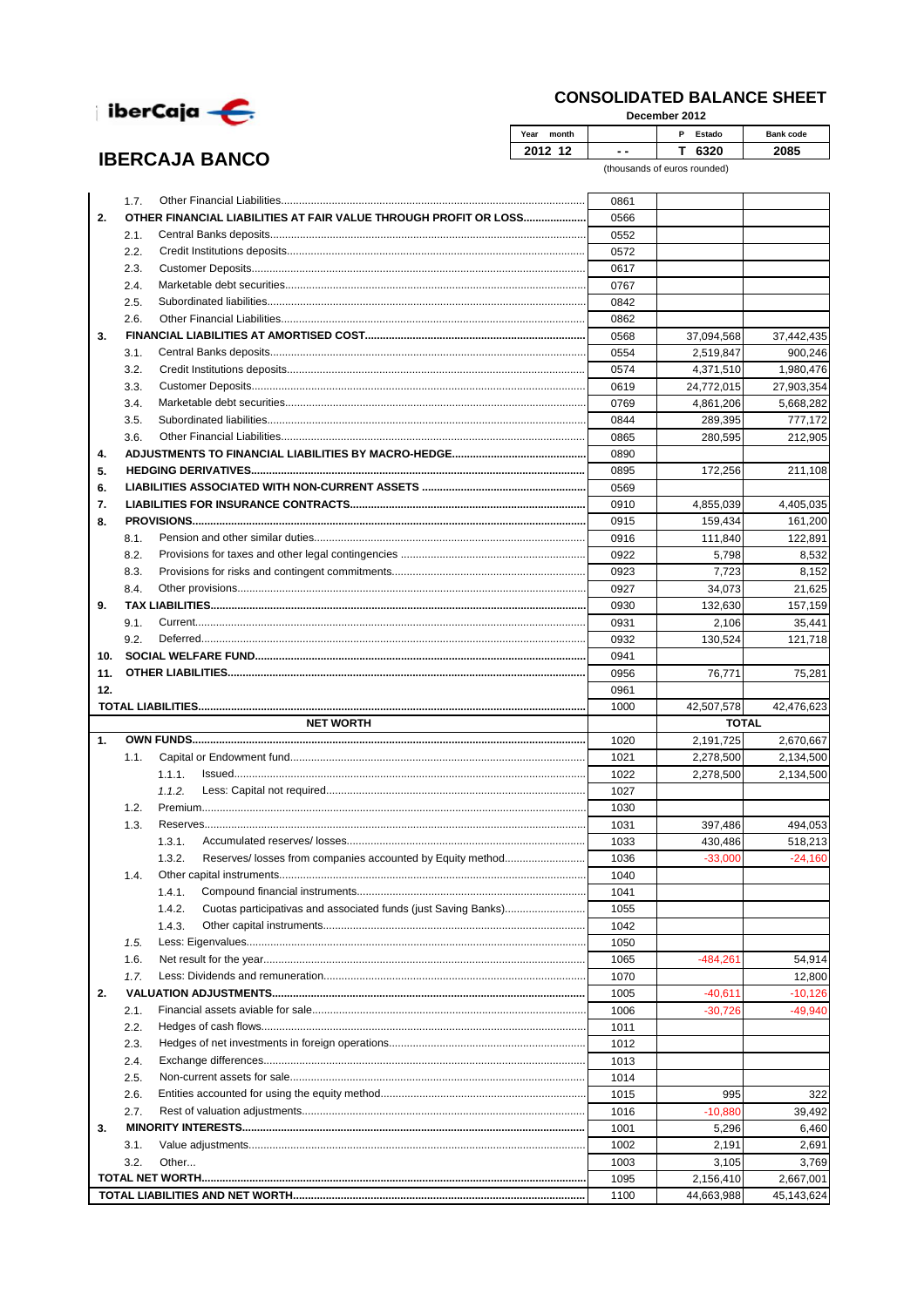

**IBERCAJA BANCO** 

## **CONSOLIDATED BALANCE SHEET**

December 2012

| Year<br>month |    | <b>Estado</b><br>D | Bank code |
|---------------|----|--------------------|-----------|
| 0             | -- |                    |           |

(thousands of euros rounded)

|     | 1.7. |                                                                          | 0861         |                         |                                                                                   |
|-----|------|--------------------------------------------------------------------------|--------------|-------------------------|-----------------------------------------------------------------------------------|
| 2.  |      | OTHER FINANCIAL LIABILITIES AT FAIR VALUE THROUGH PROFIT OR LOSS         | 0566         |                         |                                                                                   |
|     | 2.1. |                                                                          | 0552         |                         |                                                                                   |
|     | 2.2. |                                                                          |              |                         |                                                                                   |
|     |      |                                                                          | 0572         |                         |                                                                                   |
|     | 2.3. |                                                                          | 0617         |                         |                                                                                   |
|     | 2.4. |                                                                          | 0767         |                         |                                                                                   |
|     | 2.5. |                                                                          | 0842         |                         |                                                                                   |
|     | 2.6. |                                                                          | 0862         |                         |                                                                                   |
| 3.  |      |                                                                          | 0568         | 37,094,568              | 37,442,435                                                                        |
|     | 3.1. |                                                                          | 0554         | 2,519,847               | 900,246                                                                           |
|     | 3.2. |                                                                          | 0574         | 4,371,510               | 1,980,476                                                                         |
|     | 3.3. |                                                                          | 0619         | 24,772,015              | 27,903,354                                                                        |
|     | 3.4. |                                                                          | 0769         | 4,861,206               | 5,668,282                                                                         |
|     | 3.5. |                                                                          | 0844         | 289,395                 | 777,172                                                                           |
|     | 3.6. |                                                                          | 0865         | 280,595                 | 212,905                                                                           |
| 4.  |      |                                                                          | 0890         |                         |                                                                                   |
| 5.  |      |                                                                          | 0895         | 172,256                 | 211,108                                                                           |
| 6.  |      |                                                                          | 0569         |                         |                                                                                   |
| 7.  |      |                                                                          | 0910         | 4,855,039               | 4,405,035                                                                         |
| 8.  |      |                                                                          | 0915         | 159,434                 | 161,200                                                                           |
|     | 8.1. |                                                                          | 0916         | 111,840                 | 122,891                                                                           |
|     | 8.2. |                                                                          | 0922         | 5,798                   | 8,532                                                                             |
|     | 8.3. |                                                                          | 0923         | 7,723                   | 8,152                                                                             |
|     | 8.4. |                                                                          | 0927         | 34,073                  | 21,625                                                                            |
| 9.  |      |                                                                          | 0930         | 132,630                 | 157,159                                                                           |
|     | 9.1. |                                                                          | 0931         | 2,106                   | 35,441                                                                            |
|     | 9.2. |                                                                          | 0932         | 130,524                 | 121,718                                                                           |
| 10. |      |                                                                          | 0941         |                         |                                                                                   |
| 11. |      |                                                                          |              |                         |                                                                                   |
|     |      |                                                                          | 0956         | 76,771                  | 75,281                                                                            |
| 12. |      |                                                                          | 0961         |                         |                                                                                   |
|     |      |                                                                          |              |                         |                                                                                   |
|     |      |                                                                          | 1000         | 42,507,578              |                                                                                   |
|     |      | <b>NET WORTH</b>                                                         |              | <b>TOTAL</b>            |                                                                                   |
| 1.  |      |                                                                          | 1020         | 2,191,725               |                                                                                   |
|     | 1.1. |                                                                          | 1021         | 2,278,500               |                                                                                   |
|     |      | 1.1.1.                                                                   | 1022         | 2,278,500               |                                                                                   |
|     |      | 1.1.2.                                                                   | 1027         |                         |                                                                                   |
|     | 1.2. |                                                                          | 1030         |                         |                                                                                   |
|     | 1.3. |                                                                          | 1031         | 397,486                 |                                                                                   |
|     |      | 1.3.1.                                                                   | 1033         | 430,486                 |                                                                                   |
|     |      | Reserves/losses from companies accounted by Equity method<br>1.3.2.      | 1036         | $-33,000$               | $-24,160$                                                                         |
|     | 1.4. |                                                                          | 1040         |                         |                                                                                   |
|     |      | 1.4.1.                                                                   | 1041         |                         |                                                                                   |
|     |      | 1.4.2.<br>Cuotas participativas and associated funds (just Saving Banks) | 1055         |                         |                                                                                   |
|     |      | 1.4.3.                                                                   | 1042         |                         |                                                                                   |
|     | 1.5. |                                                                          | 1050         |                         |                                                                                   |
|     | 1.6. |                                                                          | 1065         | $-484,261$              |                                                                                   |
|     | 1.7. |                                                                          | 1070         |                         |                                                                                   |
| 2.  |      |                                                                          | 1005         | $-40,611$               | $-10,126$                                                                         |
|     | 2.1. |                                                                          | 1006         | $-30,726$               | $-49.940$                                                                         |
|     | 2.2. |                                                                          | 1011         |                         |                                                                                   |
|     | 2.3. |                                                                          | 1012         |                         |                                                                                   |
|     | 2.4. |                                                                          | 1013         |                         |                                                                                   |
|     | 2.5. |                                                                          |              |                         |                                                                                   |
|     |      |                                                                          | 1014         |                         |                                                                                   |
|     | 2.6. |                                                                          | 1015         | 995                     |                                                                                   |
|     | 2.7. |                                                                          | 1016         | $-10,880$               |                                                                                   |
| 3.  |      |                                                                          | 1001         | 5,296                   |                                                                                   |
|     | 3.1. |                                                                          | 1002         | 2,191                   | 2,691                                                                             |
|     | 3.2. | Other                                                                    | 1003         | 3,105                   | 42,476,623<br>2,670,667<br>54,914<br>322<br>39,492<br>6,460<br>3,769              |
|     |      |                                                                          | 1095<br>1100 | 2,156,410<br>44,663,988 | 2,134,500<br>2,134,500<br>494.053<br>518,213<br>12.800<br>2,667,001<br>45,143,624 |